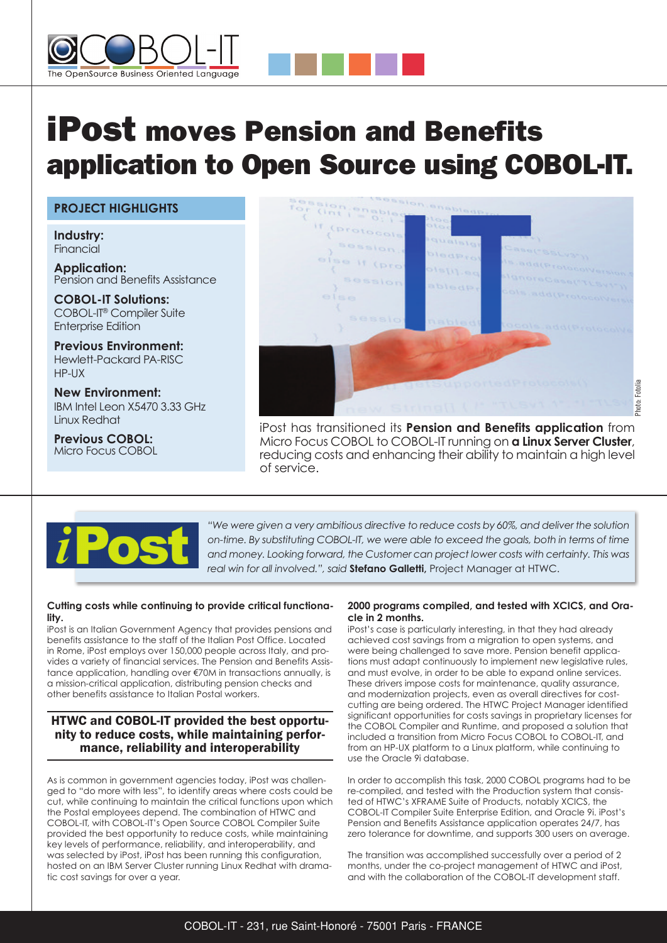



# **Project HiGHliGHtS**

**industry:** Financial

**Application:** Pension and Benefits Assistance

**coBol-it Solutions:** COBOL-IT® Compiler Suite Enterprise Edition

**Previous environment:** Hewlett-Packard PA-RISC HP-UX

**New environment:** IBM Intel Leon X5470 3.33 GHz Linux Redhat

**Previous coBol:** Micro Focus COBOL



iPost has transitioned its **Pension and Benefits application** from Micro Focus COBOL to COBOL-IT running on **a linux Server cluster**, reducing costs and enhancing their ability to maintain a high level of service.



*"We were given a very ambitious directive to reduce costs by 60%, and deliver the solution on-time. By substituting COBOL-IT, we were able to exceed the goals, both in terms of time and money. Looking forward, the Customer can project lower costs with certainty. This was real win for all involved.", said* **Stefano Galletti,** Project Manager at HTWC.

### **cutting costs while continuing to provide critical functionality.**

iPost is an Italian Government Agency that provides pensions and benefits assistance to the staff of the Italian Post Office. Located in Rome, iPost employs over 150,000 people across Italy, and provides a variety of financial services. The Pension and Benefits Assistance application, handling over €70M in transactions annually, is a mission-critical application, distributing pension checks and other benefits assistance to Italian Postal workers.

## HTWC and COBOL-IT provided the best opportunity to reduce costs, while maintaining performance, reliability and interoperability

As is common in government agencies today, iPost was challenged to "do more with less", to identify areas where costs could be cut, while continuing to maintain the critical functions upon which the Postal employees depend. The combination of HTWC and COBOL-IT, with COBOL-IT's Open Source COBOL Compiler Suite provided the best opportunity to reduce costs, while maintaining key levels of performance, reliability, and interoperability, and was selected by iPost, iPost has been running this configuration, hosted on an IBM Server Cluster running Linux Redhat with dramatic cost savings for over a year.

### **2000 programs compiled, and tested with XcicS, and oracle in 2 months.**

iPost's case is particularly interesting, in that they had already achieved cost savings from a migration to open systems, and were being challenged to save more. Pension benefit applications must adapt continuously to implement new legislative rules, and must evolve, in order to be able to expand online services. These drivers impose costs for maintenance, quality assurance, and modernization projects, even as overall directives for costcutting are being ordered. The HTWC Project Manager identified significant opportunities for costs savings in proprietary licenses for the COBOL Compiler and Runtime, and proposed a solution that included a transition from Micro Focus COBOL to COBOL-IT, and from an HP-UX platform to a Linux platform, while continuing to use the Oracle 9i database.

In order to accomplish this task, 2000 COBOL programs had to be re-compiled, and tested with the Production system that consisted of HTWC's XFRAME Suite of Products, notably XCICS, the COBOL-IT Compiler Suite Enterprise Edition, and Oracle 9i. iPost's Pension and Benefits Assistance application operates 24/7, has zero tolerance for downtime, and supports 300 users on average.

The transition was accomplished successfully over a period of 2 months, under the co-project management of HTWC and iPost, and with the collaboration of the COBOL-IT development staff.